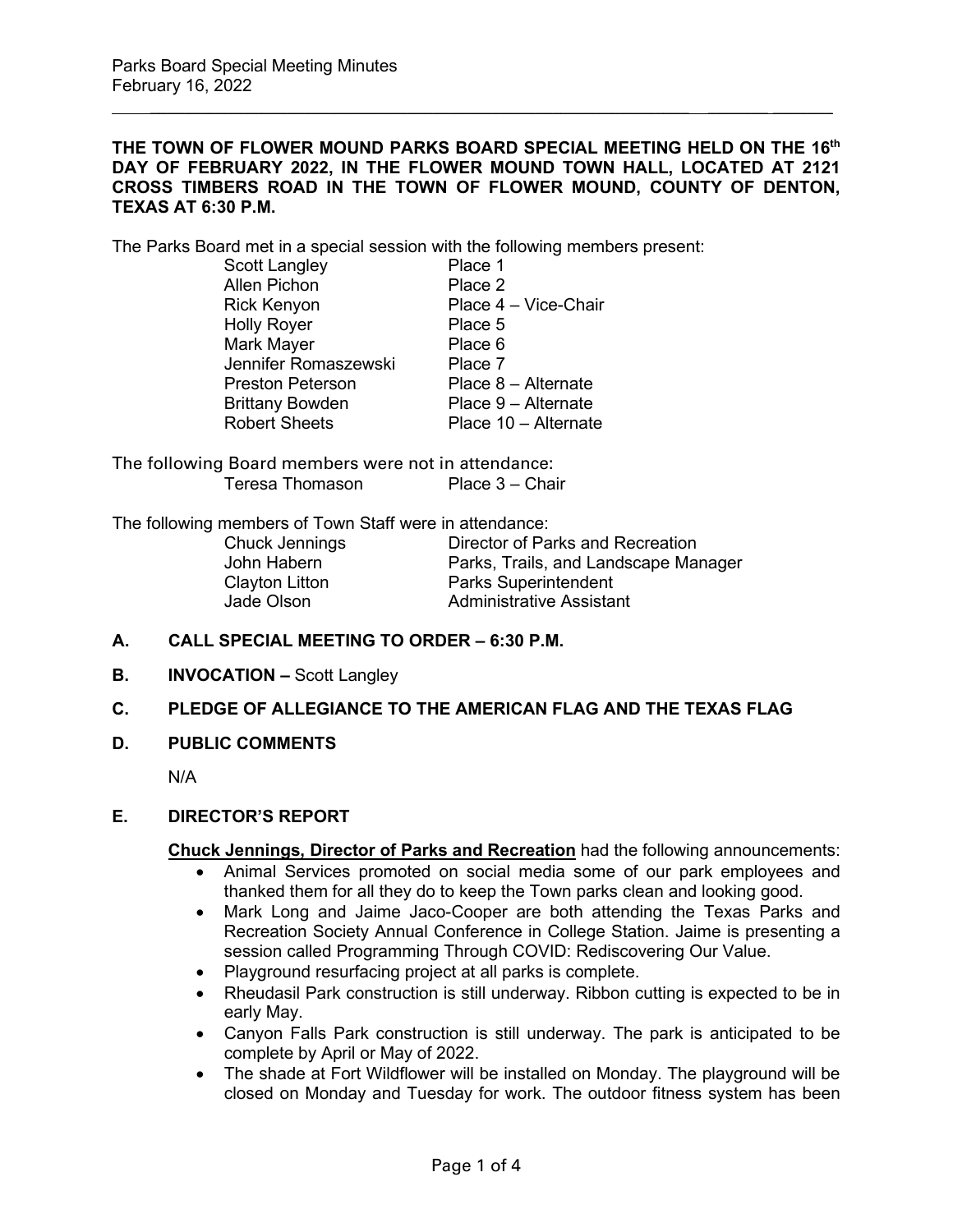## **THE TOWN OF FLOWER MOUND PARKS BOARD SPECIAL MEETING HELD ON THE 16th DAY OF FEBRUARY 2022, IN THE FLOWER MOUND TOWN HALL, LOCATED AT 2121 CROSS TIMBERS ROAD IN THE TOWN OF FLOWER MOUND, COUNTY OF DENTON, TEXAS AT 6:30 P.M.**

 $\frac{1}{2}$  ,  $\frac{1}{2}$  ,  $\frac{1}{2}$  ,  $\frac{1}{2}$  ,  $\frac{1}{2}$  ,  $\frac{1}{2}$  ,  $\frac{1}{2}$  ,  $\frac{1}{2}$  ,  $\frac{1}{2}$  ,  $\frac{1}{2}$  ,  $\frac{1}{2}$  ,  $\frac{1}{2}$  ,  $\frac{1}{2}$  ,  $\frac{1}{2}$  ,  $\frac{1}{2}$  ,  $\frac{1}{2}$  ,  $\frac{1}{2}$  ,  $\frac{1}{2}$  ,  $\frac{1$ 

The Parks Board met in a special session with the following members present:

| Scott Langley           | Place 1              |
|-------------------------|----------------------|
| <b>Allen Pichon</b>     | Place 2              |
| <b>Rick Kenyon</b>      | Place 4 - Vice-Chair |
| <b>Holly Royer</b>      | Place 5              |
| Mark Mayer              | Place 6              |
| Jennifer Romaszewski    | Place 7              |
| <b>Preston Peterson</b> | Place 8 - Alternate  |
| <b>Brittany Bowden</b>  | Place 9 - Alternate  |
| <b>Robert Sheets</b>    | Place 10 - Alternate |

The following Board members were not in attendance: Teresa Thomason Place 3 – Chair

The following members of Town Staff were in attendance:

Chuck Jennings Director of Parks and Recreation John Habern Parks, Trails, and Landscape Manager Clayton Litton **Parks Superintendent**<br>
Jade Olson **Parks Superintendent** Administrative Assistant

- **A. CALL SPECIAL MEETING TO ORDER – 6:30 P.M.**
- **B. INVOCATION –** Scott Langley
- **C. PLEDGE OF ALLEGIANCE TO THE AMERICAN FLAG AND THE TEXAS FLAG**
- **D. PUBLIC COMMENTS**

N/A

## **E. DIRECTOR'S REPORT**

**Chuck Jennings, Director of Parks and Recreation** had the following announcements:

- Animal Services promoted on social media some of our park employees and thanked them for all they do to keep the Town parks clean and looking good.
- Mark Long and Jaime Jaco-Cooper are both attending the Texas Parks and Recreation Society Annual Conference in College Station. Jaime is presenting a session called Programming Through COVID: Rediscovering Our Value.
- Playground resurfacing project at all parks is complete.
- Rheudasil Park construction is still underway. Ribbon cutting is expected to be in early May.
- Canyon Falls Park construction is still underway. The park is anticipated to be complete by April or May of 2022.
- The shade at Fort Wildflower will be installed on Monday. The playground will be closed on Monday and Tuesday for work. The outdoor fitness system has been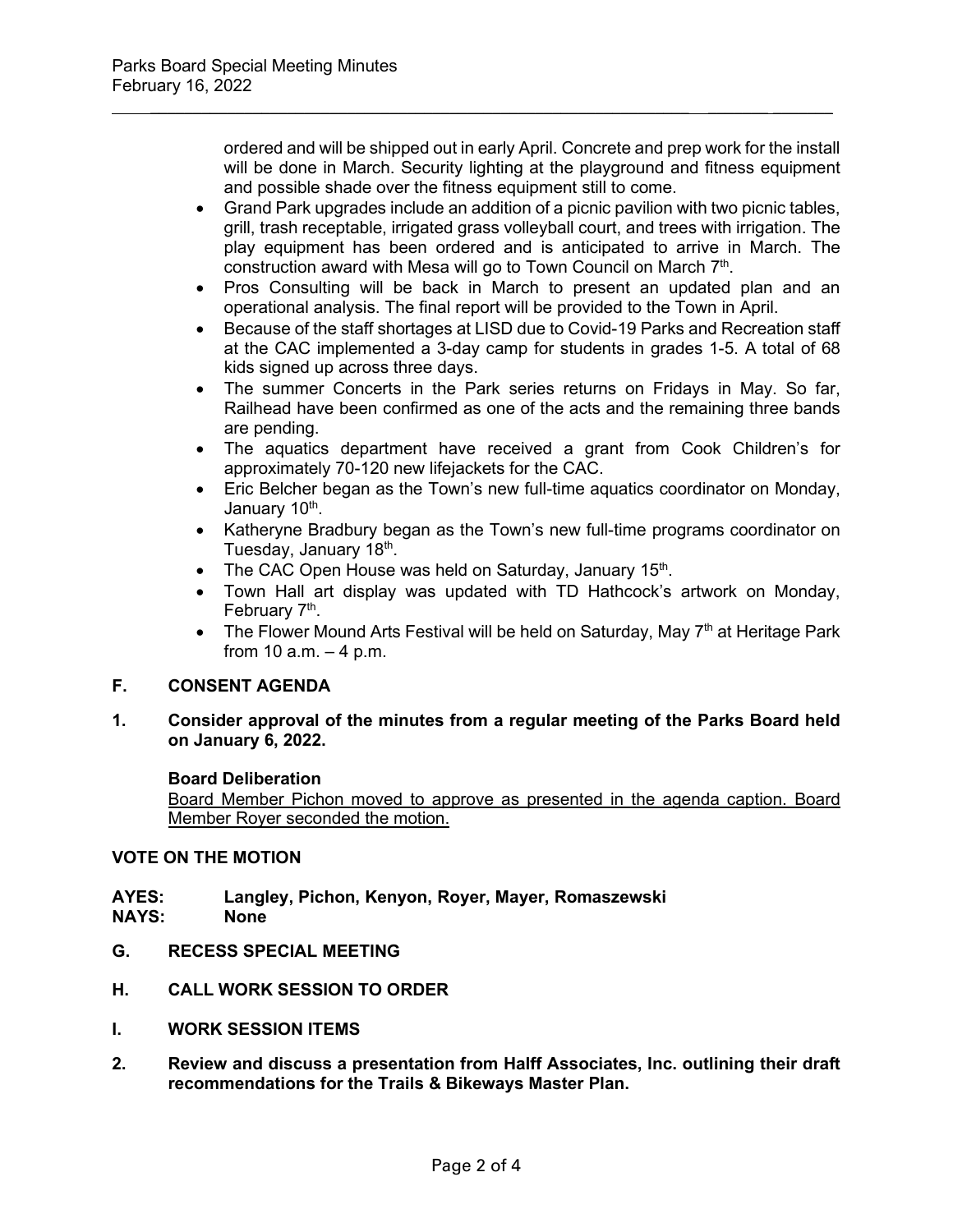ordered and will be shipped out in early April. Concrete and prep work for the install will be done in March. Security lighting at the playground and fitness equipment and possible shade over the fitness equipment still to come.

• Grand Park upgrades include an addition of a picnic pavilion with two picnic tables, grill, trash receptable, irrigated grass volleyball court, and trees with irrigation. The play equipment has been ordered and is anticipated to arrive in March. The construction award with Mesa will go to Town Council on March 7th.

 $\frac{1}{2}$  ,  $\frac{1}{2}$  ,  $\frac{1}{2}$  ,  $\frac{1}{2}$  ,  $\frac{1}{2}$  ,  $\frac{1}{2}$  ,  $\frac{1}{2}$  ,  $\frac{1}{2}$  ,  $\frac{1}{2}$  ,  $\frac{1}{2}$  ,  $\frac{1}{2}$  ,  $\frac{1}{2}$  ,  $\frac{1}{2}$  ,  $\frac{1}{2}$  ,  $\frac{1}{2}$  ,  $\frac{1}{2}$  ,  $\frac{1}{2}$  ,  $\frac{1}{2}$  ,  $\frac{1$ 

- Pros Consulting will be back in March to present an updated plan and an operational analysis. The final report will be provided to the Town in April.
- Because of the staff shortages at LISD due to Covid-19 Parks and Recreation staff at the CAC implemented a 3-day camp for students in grades 1-5. A total of 68 kids signed up across three days.
- The summer Concerts in the Park series returns on Fridays in May. So far, Railhead have been confirmed as one of the acts and the remaining three bands are pending.
- The aquatics department have received a grant from Cook Children's for approximately 70-120 new lifejackets for the CAC.
- Eric Belcher began as the Town's new full-time aquatics coordinator on Monday, January 10<sup>th</sup>.
- Katheryne Bradbury began as the Town's new full-time programs coordinator on Tuesday, January 18<sup>th</sup>.
- The CAC Open House was held on Saturday, January  $15<sup>th</sup>$ .
- Town Hall art display was updated with TD Hathcock's artwork on Monday, February 7<sup>th</sup>.
- The Flower Mound Arts Festival will be held on Saturday, May  $7<sup>th</sup>$  at Heritage Park from 10  $a.m. - 4 p.m.$

# **F. CONSENT AGENDA**

**1. Consider approval of the minutes from a regular meeting of the Parks Board held on January 6, 2022.**

# **Board Deliberation**

Board Member Pichon moved to approve as presented in the agenda caption. Board Member Royer seconded the motion.

# **VOTE ON THE MOTION**

# **AYES: Langley, Pichon, Kenyon, Royer, Mayer, Romaszewski**

- **NAYS:**
- **G. RECESS SPECIAL MEETING**
- **H. CALL WORK SESSION TO ORDER**
- **I. WORK SESSION ITEMS**
- **2. Review and discuss a presentation from Halff Associates, Inc. outlining their draft recommendations for the Trails & Bikeways Master Plan.**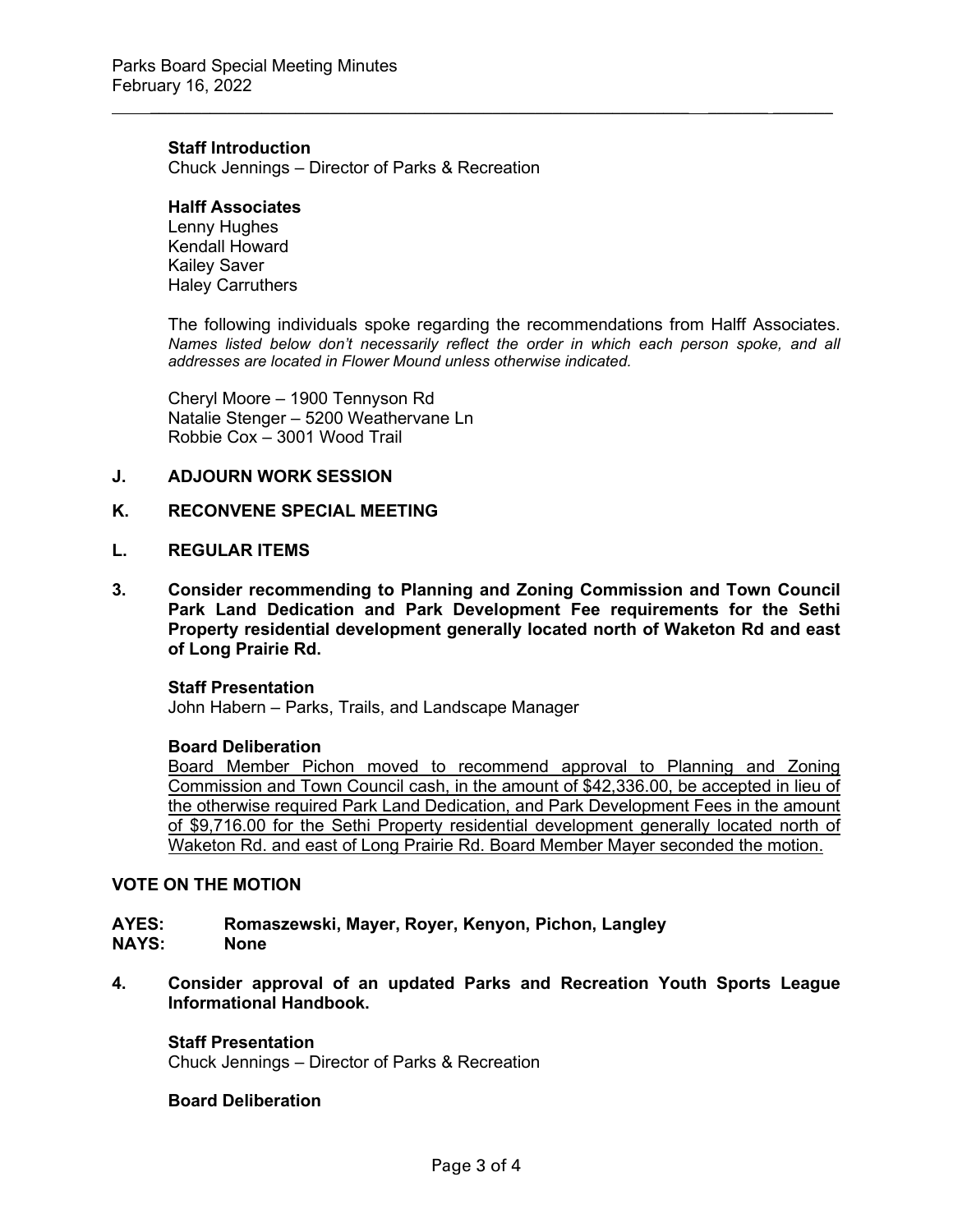## **Staff Introduction**

Chuck Jennings – Director of Parks & Recreation

## **Halff Associates**

Lenny Hughes Kendall Howard Kailey Saver Haley Carruthers

The following individuals spoke regarding the recommendations from Halff Associates. *Names listed below don't necessarily reflect the order in which each person spoke, and all addresses are located in Flower Mound unless otherwise indicated.*

 $\frac{1}{2}$  ,  $\frac{1}{2}$  ,  $\frac{1}{2}$  ,  $\frac{1}{2}$  ,  $\frac{1}{2}$  ,  $\frac{1}{2}$  ,  $\frac{1}{2}$  ,  $\frac{1}{2}$  ,  $\frac{1}{2}$  ,  $\frac{1}{2}$  ,  $\frac{1}{2}$  ,  $\frac{1}{2}$  ,  $\frac{1}{2}$  ,  $\frac{1}{2}$  ,  $\frac{1}{2}$  ,  $\frac{1}{2}$  ,  $\frac{1}{2}$  ,  $\frac{1}{2}$  ,  $\frac{1$ 

Cheryl Moore – 1900 Tennyson Rd Natalie Stenger – 5200 Weathervane Ln Robbie Cox – 3001 Wood Trail

#### **J. ADJOURN WORK SESSION**

#### **K. RECONVENE SPECIAL MEETING**

#### **L. REGULAR ITEMS**

**3. Consider recommending to Planning and Zoning Commission and Town Council Park Land Dedication and Park Development Fee requirements for the Sethi Property residential development generally located north of Waketon Rd and east of Long Prairie Rd.** 

#### **Staff Presentation**

John Habern – Parks, Trails, and Landscape Manager

#### **Board Deliberation**

Board Member Pichon moved to recommend approval to Planning and Zoning Commission and Town Council cash, in the amount of \$42,336.00, be accepted in lieu of the otherwise required Park Land Dedication, and Park Development Fees in the amount of \$9,716.00 for the Sethi Property residential development generally located north of Waketon Rd. and east of Long Prairie Rd. Board Member Mayer seconded the motion.

## **VOTE ON THE MOTION**

# **AYES: Romaszewski, Mayer, Royer, Kenyon, Pichon, Langley**

**NAYS:** 

**4. Consider approval of an updated Parks and Recreation Youth Sports League Informational Handbook.**

### **Staff Presentation**

Chuck Jennings – Director of Parks & Recreation

### **Board Deliberation**